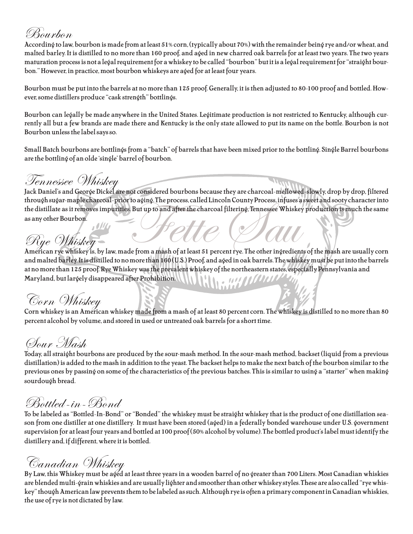# Bourbon

According to law, bourbon is made from at least 51% corn, (typically about 70%) with the remainder being rye and/or wheat, and malted barley. It is distilled to no more than 160 proof, and aged in new charred oak barrels for at least two years. The two years maturation process is not a legal requirement for a whiskey to be called "bourbon" but it is a legal requirement for "straight bourbon." However, in practice, most bourbon whiskeys are aged for at least four years.

Bourbon must be put into the barrels at no more than 125 proof. Generally, it is then adjusted to 80-100 proof and bottled. However, some distillers produce "cask strength" bottlings.

Bourbon can legally be made anywhere in the United States. Legitimate production is not restricted to Kentucky, although currently all but a few brands are made there and Kentucky is the only state allowed to put its name on the bottle. Bourbon is not Bourbon unless the label says so.

Small Batch bourbons are bottlings from a "batch" of barrels that have been mixed prior to the bottling. Single Barrel bourbons are the bottling of an olde 'single' barrel of bourbon.

### Tennessee Whiskey

Fettillate as it removes impurities. But up to and after the charcoal filtering, Tennessee Whiskey production is much the same<br>as any other Bourbon.<br>American rye whiskey is, by law, made from a mash of at least 51 percent Jack Daniel's and George Dickel are not considered bourbons because they are charcoal-mellowed-slowly, drop by drop, filtered through sugar-maple charcoal-prior to aging. The process, called Lincoln County Process, infuses a sweet and sooty character into the distillate as it removes impurities. But up to and after the charcoal filtering, Tennessee Whiskey production is much the same as any other Bourbon.

and malted barley. It is distilled to no more than 160 (U.S.) Proof, and aged in oak barrels. The whiskey must be put into the barrels at no more than 125 proof. Rye Whiskey was the prevalent whiskey of the northeastern states, especially Pennsylvania and Maryland, but largely disappeared after Prohibition.  $V_1|_{V_1}$  , and  $H_2|_{V_1}$ 

Corn Whiskey<br>Corn whiskey is an American whiskey made from a mash of at least 80 percent corn. The whiskey is distilled to no more than 80 percent alcohol by volume, and stored in used or untreated oak barrels for a short time.

# Sour Mash

Today, all straight bourbons are produced by the sour-mash method. In the sour-mash method, backset (liquid from a previous distillation) is added to the mash in addition to the yeast. The backset helps to make the next batch of the bourbon similar to the previous ones by passing on some of the characteristics of the previous batches. This is similar to using a "starter" when making sourdough bread.

# Bottled-in-Bond

To be labeled as "Bottled-In-Bond" or "Bonded" the whiskey must be straight whiskey that is the product of one distillation season from one distiller at one distillery. It must have been stored (aged) in a federally bonded warehouse under U.S. government supervision for at least four years and bottled at 100 proof (50% alcohol by volume). The bottled product's label must identify the distillery and, if different, where it is bottled.

 $\overline{\mathcal{C}}$ anadian  $\overline{\mathcal{C}}$ hiskey<br>By Law, this Whiskey must be aged at least three years in a wooden barrel of no greater than 700 Liters. Most Canadian whiskies are blended multi-grain whiskies and are usually lighter and smoother than other whiskey styles. These are also called "rye whiskey" though American law prevents them to be labeled as such. Although rye is often a primary component in Canadian whiskies, the use of rye is not dictated by law.